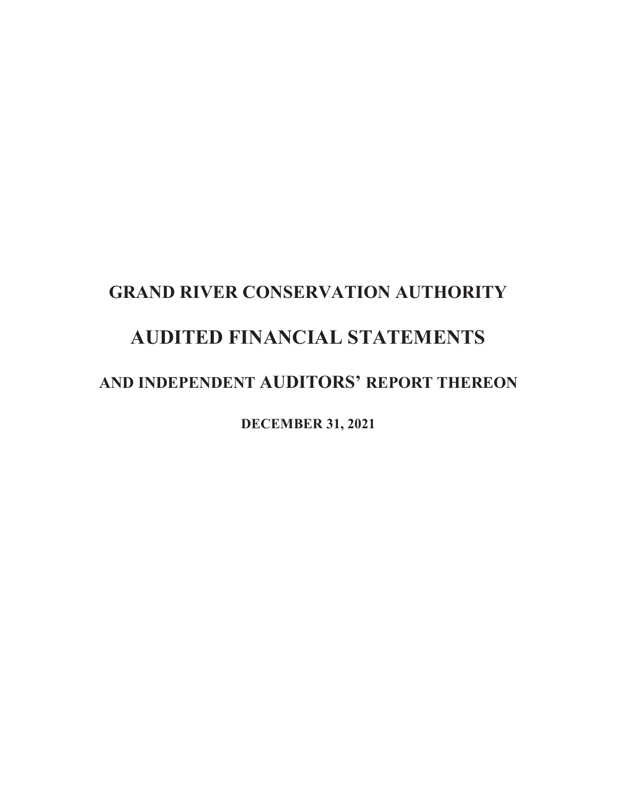# **GRAND RIVER CONSERVATION AUTHORITY AUDITED FINANCIAL STATEMENTS AND INDEPENDENT AUDITORS' REPORT THEREON**

**DECEMBER 31, 2021**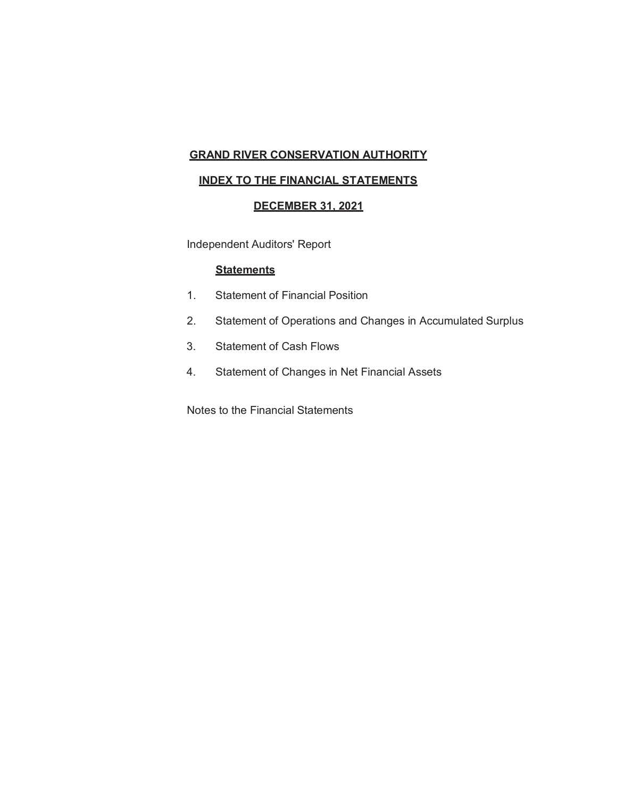## **GRAND RIVER CONSERVATION AUTHORITY**

## **INDEX TO THE FINANCIAL STATEMENTS**

## **DECEMBER 31, 2021**

Independent Auditors' Report

#### **Statements**

- 1. Statement of Financial Position
- 2. Statement of Operations and Changes in Accumulated Surplus
- 3. Statement of Cash Flows
- 4. Statement of Changes in Net Financial Assets

Notes to the Financial Statements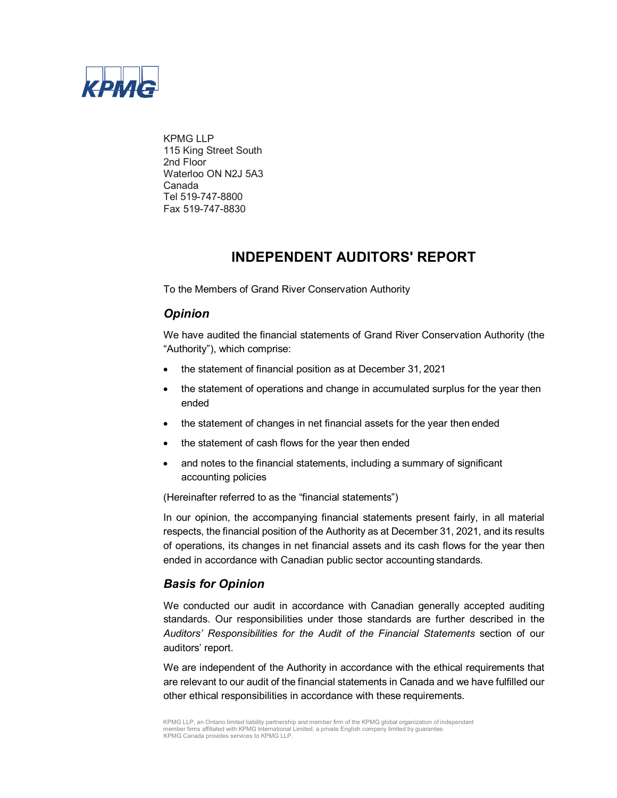

KPMG LLP 115 King Street South 2nd Floor Waterloo ON N2J 5A3 Canada Tel 519-747-8800 Fax 519-747-8830

## **INDEPENDENT AUDITORS' REPORT**

To the Members of Grand River Conservation Authority

## *Opinion*

We have audited the financial statements of Grand River Conservation Authority (the "Authority"), which comprise:

- the statement of financial position as at December 31, 2021
- the statement of operations and change in accumulated surplus for the year then ended
- the statement of changes in net financial assets for the year then ended
- the statement of cash flows for the year then ended
- and notes to the financial statements, including a summary of significant accounting policies

(Hereinafter referred to as the "financial statements")

In our opinion, the accompanying financial statements present fairly, in all material respects, the financial position of the Authority as at December 31, 2021, and its results of operations, its changes in net financial assets and its cash flows for the year then ended in accordance with Canadian public sector accounting standards.

## *Basis for Opinion*

We conducted our audit in accordance with Canadian generally accepted auditing standards. Our responsibilities under those standards are further described in the *Auditors' Responsibilities for the Audit of the Financial Statements* section of our auditors' report.

We are independent of the Authority in accordance with the ethical requirements that are relevant to our audit of the financial statements in Canada and we have fulfilled our other ethical responsibilities in accordance with these requirements.

KPMG LLP, an Ontario limited liability partnership and member firm of the KPMG global organization of independent member firms affiliated with KPMG International Limited, a private English company limited by guarantee. KPMG Canada provides services to KPMG LLP.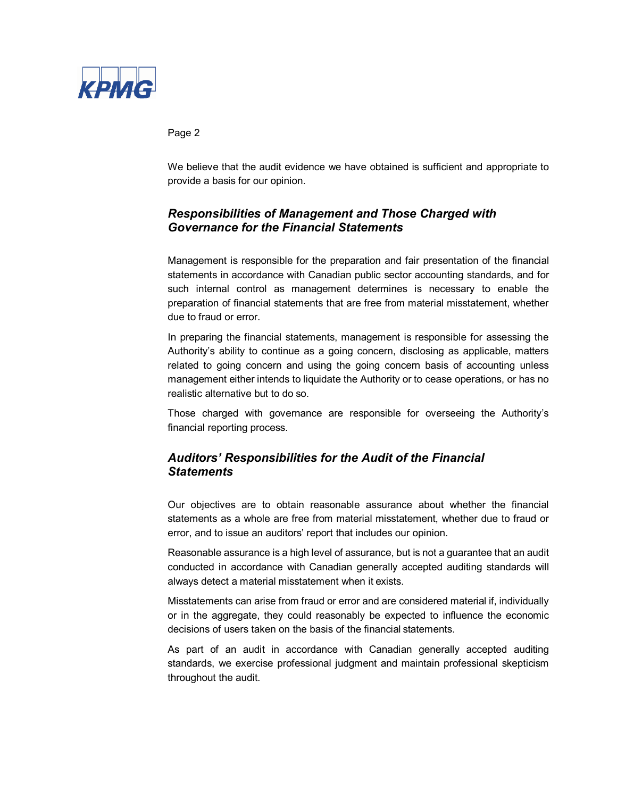

Page 2

We believe that the audit evidence we have obtained is sufficient and appropriate to provide a basis for our opinion.

## *Responsibilities of Management and Those Charged with Governance for the Financial Statements*

Management is responsible for the preparation and fair presentation of the financial statements in accordance with Canadian public sector accounting standards, and for such internal control as management determines is necessary to enable the preparation of financial statements that are free from material misstatement, whether due to fraud or error.

In preparing the financial statements, management is responsible for assessing the Authority's ability to continue as a going concern, disclosing as applicable, matters related to going concern and using the going concern basis of accounting unless management either intends to liquidate the Authority or to cease operations, or has no realistic alternative but to do so.

Those charged with governance are responsible for overseeing the Authority's financial reporting process.

## *Auditors' Responsibilities for the Audit of the Financial Statements*

Our objectives are to obtain reasonable assurance about whether the financial statements as a whole are free from material misstatement, whether due to fraud or error, and to issue an auditors' report that includes our opinion.

Reasonable assurance is a high level of assurance, but is not a guarantee that an audit conducted in accordance with Canadian generally accepted auditing standards will always detect a material misstatement when it exists.

Misstatements can arise from fraud or error and are considered material if, individually or in the aggregate, they could reasonably be expected to influence the economic decisions of users taken on the basis of the financial statements.

As part of an audit in accordance with Canadian generally accepted auditing standards, we exercise professional judgment and maintain professional skepticism throughout the audit.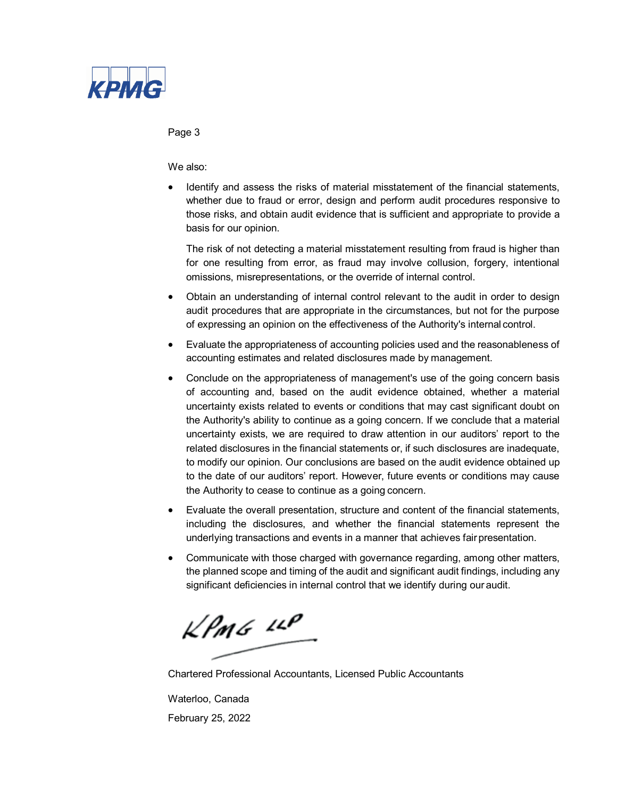

#### Page 3

We also:

• Identify and assess the risks of material misstatement of the financial statements, whether due to fraud or error, design and perform audit procedures responsive to those risks, and obtain audit evidence that is sufficient and appropriate to provide a basis for our opinion.

The risk of not detecting a material misstatement resulting from fraud is higher than for one resulting from error, as fraud may involve collusion, forgery, intentional omissions, misrepresentations, or the override of internal control.

- Obtain an understanding of internal control relevant to the audit in order to design audit procedures that are appropriate in the circumstances, but not for the purpose of expressing an opinion on the effectiveness of the Authority's internal control.
- Evaluate the appropriateness of accounting policies used and the reasonableness of accounting estimates and related disclosures made by management.
- Conclude on the appropriateness of management's use of the going concern basis of accounting and, based on the audit evidence obtained, whether a material uncertainty exists related to events or conditions that may cast significant doubt on the Authority's ability to continue as a going concern. If we conclude that a material uncertainty exists, we are required to draw attention in our auditors' report to the related disclosures in the financial statements or, if such disclosures are inadequate, to modify our opinion. Our conclusions are based on the audit evidence obtained up to the date of our auditors' report. However, future events or conditions may cause the Authority to cease to continue as a going concern.
- Evaluate the overall presentation, structure and content of the financial statements, including the disclosures, and whether the financial statements represent the underlying transactions and events in a manner that achieves fairpresentation.
- Communicate with those charged with governance regarding, among other matters, the planned scope and timing of the audit and significant audit findings, including any significant deficiencies in internal control that we identify during our audit.

 $\mathcal{L}$ PMG  $\mathcal{L}$ 

Chartered Professional Accountants, Licensed Public Accountants

Waterloo, Canada February 25, 2022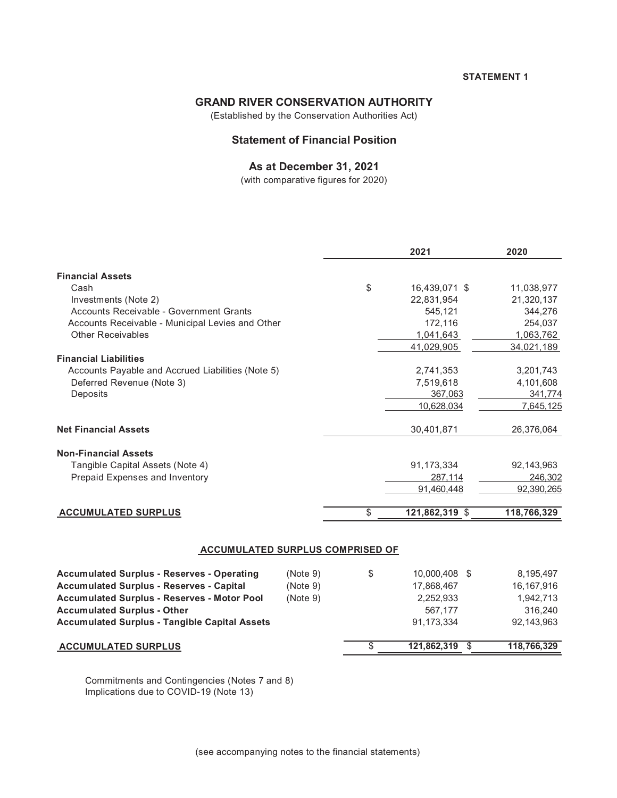## **GRAND RIVER CONSERVATION AUTHORITY**

(Established by the Conservation Authorities Act)

## **Statement of Financial Position**

## **As at December 31, 2021**

(with comparative figures for 2020)

|                                                      |          | 2021                 | 2020         |
|------------------------------------------------------|----------|----------------------|--------------|
| <b>Financial Assets</b>                              |          |                      |              |
| Cash                                                 |          | \$<br>16,439,071 \$  | 11,038,977   |
| Investments (Note 2)                                 |          | 22,831,954           | 21,320,137   |
| Accounts Receivable - Government Grants              |          | 545,121              | 344,276      |
| Accounts Receivable - Municipal Levies and Other     |          | 172,116              | 254,037      |
| <b>Other Receivables</b>                             |          | 1,041,643            | 1,063,762    |
|                                                      |          | 41,029,905           | 34,021,189   |
| <b>Financial Liabilities</b>                         |          |                      |              |
| Accounts Payable and Accrued Liabilities (Note 5)    |          | 2,741,353            | 3,201,743    |
| Deferred Revenue (Note 3)                            |          | 7,519,618            | 4,101,608    |
| Deposits                                             |          | 367,063              | 341,774      |
|                                                      |          | 10,628,034           | 7,645,125    |
|                                                      |          |                      |              |
| <b>Net Financial Assets</b>                          |          | 30,401,871           | 26,376,064   |
| <b>Non-Financial Assets</b>                          |          |                      |              |
| Tangible Capital Assets (Note 4)                     |          | 91,173,334           | 92,143,963   |
| Prepaid Expenses and Inventory                       |          | 287,114              | 246,302      |
|                                                      |          | 91,460,448           | 92,390,265   |
| <b>ACCUMULATED SURPLUS</b>                           |          | \$<br>121,862,319 \$ | 118,766,329  |
|                                                      |          |                      |              |
| <b>ACCUMULATED SURPLUS COMPRISED OF</b>              |          |                      |              |
| <b>Accumulated Surplus - Reserves - Operating</b>    | (Note 9) | \$<br>10,000,408 \$  | 8,195,497    |
| <b>Accumulated Surplus - Reserves - Capital</b>      | (Note 9) | 17,868,467           | 16, 167, 916 |
| <b>Accumulated Surplus - Reserves - Motor Pool</b>   | (Note 9) | 2,252,933            | 1,942,713    |
| <b>Accumulated Surplus - Other</b>                   |          | 567,177              | 316,240      |
| <b>Accumulated Surplus - Tangible Capital Assets</b> |          | 91,173,334           | 92,143,963   |
| <b>ACCUMULATED SURPLUS</b>                           |          | \$<br>121,862,319 \$ | 118,766,329  |
|                                                      |          |                      |              |
|                                                      |          |                      |              |

Commitments and Contingencies (Notes 7 and 8) Implications due to COVID-19 (Note 13)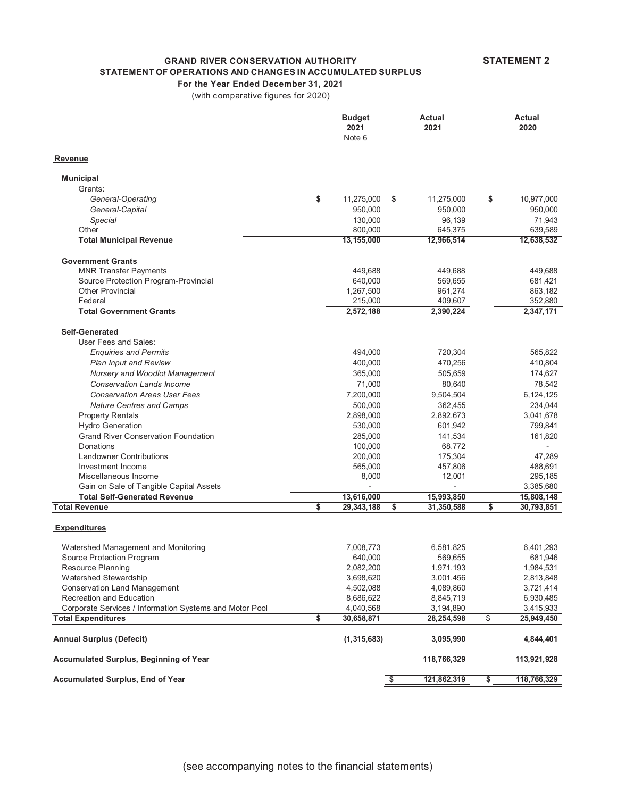**STATEMENT 2**

## **GRAND RIVER CONSERVATION AUTHORITY**

## **STATEMENT OF OPERATIONS AND CHANGES IN ACCUMULATED SURPLUS**

**For the Year Ended December 31, 2021**

(with comparative figures for 2020)

|                                                                    | <b>Budget</b><br>2021<br>Note 6 | <b>Actual</b><br>2021 | Actual<br>2020       |
|--------------------------------------------------------------------|---------------------------------|-----------------------|----------------------|
| Revenue                                                            |                                 |                       |                      |
| <b>Municipal</b>                                                   |                                 |                       |                      |
| Grants:                                                            |                                 |                       |                      |
| General-Operating                                                  | \$<br>11,275,000<br>\$          | 11,275,000            | \$<br>10,977,000     |
| General-Capital                                                    | 950,000                         | 950,000               | 950,000              |
| Special                                                            | 130,000                         | 96,139                | 71,943               |
| Other                                                              | 800,000                         | 645,375               | 639,589              |
| <b>Total Municipal Revenue</b>                                     | 13,155,000                      | 12,966,514            | 12,638,532           |
| <b>Government Grants</b>                                           |                                 |                       |                      |
| <b>MNR Transfer Payments</b>                                       | 449,688                         | 449,688               | 449,688              |
| Source Protection Program-Provincial                               | 640,000                         | 569,655               | 681,421              |
| <b>Other Provincial</b>                                            | 1,267,500                       | 961,274               | 863,182              |
| Federal                                                            | 215,000                         | 409,607               | 352,880              |
| <b>Total Government Grants</b>                                     | 2,572,188                       | 2,390,224             | 2,347,171            |
| <b>Self-Generated</b>                                              |                                 |                       |                      |
| User Fees and Sales:                                               |                                 |                       |                      |
| <b>Enquiries and Permits</b>                                       | 494,000                         | 720,304               | 565,822              |
| <b>Plan Input and Review</b>                                       | 400,000                         | 470,256               | 410,804              |
| Nursery and Woodlot Management<br><b>Conservation Lands Income</b> | 365,000                         | 505,659               | 174,627              |
| <b>Conservation Areas User Fees</b>                                | 71,000<br>7,200,000             | 80,640                | 78,542               |
|                                                                    |                                 | 9,504,504<br>362,455  | 6,124,125<br>234,044 |
| <b>Nature Centres and Camps</b>                                    | 500,000<br>2,898,000            | 2,892,673             | 3,041,678            |
| <b>Property Rentals</b><br><b>Hydro Generation</b>                 | 530,000                         | 601,942               | 799,841              |
| <b>Grand River Conservation Foundation</b>                         | 285,000                         | 141,534               | 161,820              |
| Donations                                                          | 100,000                         | 68,772                |                      |
| <b>Landowner Contributions</b>                                     | 200,000                         | 175,304               | 47,289               |
| Investment Income                                                  | 565,000                         | 457,806               | 488,691              |
| Miscellaneous Income                                               | 8,000                           | 12,001                | 295,185              |
| Gain on Sale of Tangible Capital Assets                            |                                 |                       | 3,385,680            |
| <b>Total Self-Generated Revenue</b>                                | 13,616,000                      | 15,993,850            | 15,808,148           |
| <b>Total Revenue</b>                                               | \$<br>29,343,188<br>\$          | 31,350,588            | \$<br>30,793,851     |
| <b>Expenditures</b>                                                |                                 |                       |                      |
| Watershed Management and Monitoring                                | 7,008,773                       | 6,581,825             | 6,401,293            |
| Source Protection Program                                          | 640,000                         | 569,655               | 681,946              |
| Resource Planning                                                  | 2,082,200                       | 1,971,193             | 1,984,531            |
| Watershed Stewardship                                              | 3,698,620                       | 3,001,456             | 2,813,848            |
| <b>Conservation Land Management</b>                                | 4,502,088                       | 4,089,860             | 3,721,414            |
| Recreation and Education                                           | 8,686,622                       | 8,845,719             | 6,930,485            |
| Corporate Services / Information Systems and Motor Pool            | 4,040,568                       | 3,194,890             | 3,415,933            |
| <b>Total Expenditures</b>                                          | \$<br>30,658,871                | 28, 254, 598          | \$<br>25,949,450     |
| <b>Annual Surplus (Defecit)</b>                                    | (1, 315, 683)                   | 3,095,990             | 4,844,401            |
| <b>Accumulated Surplus, Beginning of Year</b>                      |                                 | 118,766,329           | 113,921,928          |
| <b>Accumulated Surplus, End of Year</b>                            | ॱ\$                             | 121,862,319           | \$<br>118,766,329    |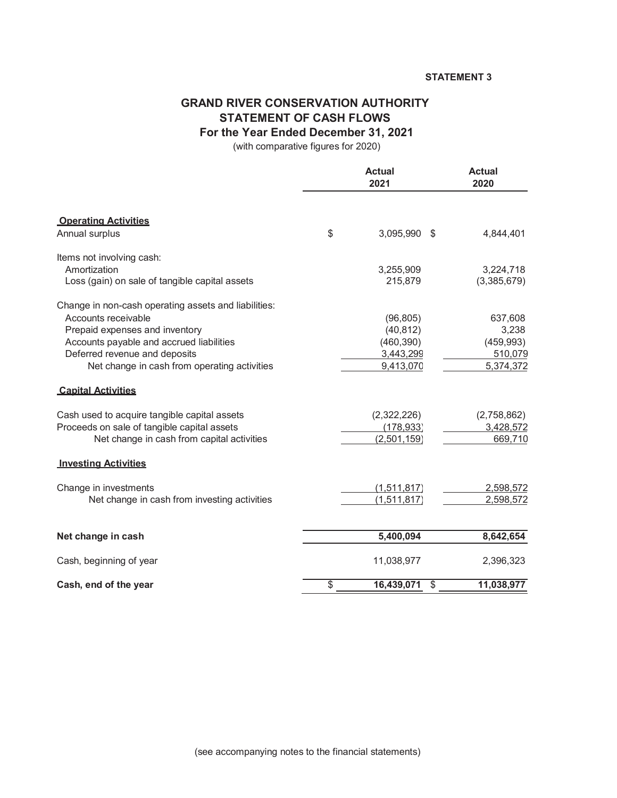#### **STATEMENT 3**

## **GRAND RIVER CONSERVATION AUTHORITY STATEMENT OF CASH FLOWS For the Year Ended December 31, 2021**

(with comparative figures for 2020)

|                                                      | <b>Actual</b><br>2021  | <b>Actual</b><br>2020 |  |
|------------------------------------------------------|------------------------|-----------------------|--|
| <b>Operating Activities</b>                          |                        |                       |  |
| Annual surplus                                       | \$<br>3,095,990 \$     | 4,844,401             |  |
| Items not involving cash:                            |                        |                       |  |
| Amortization                                         | 3,255,909              | 3,224,718             |  |
| Loss (gain) on sale of tangible capital assets       | 215,879                | (3,385,679)           |  |
| Change in non-cash operating assets and liabilities: |                        |                       |  |
| Accounts receivable                                  | (96, 805)              | 637,608               |  |
| Prepaid expenses and inventory                       | (40, 812)              | 3,238                 |  |
| Accounts payable and accrued liabilities             | (460, 390)             | (459, 993)            |  |
| Deferred revenue and deposits                        | 3,443,299              | 510,079               |  |
| Net change in cash from operating activities         | 9,413,070              | 5,374,372             |  |
| <b>Capital Activities</b>                            |                        |                       |  |
| Cash used to acquire tangible capital assets         | (2,322,226)            | (2,758,862)           |  |
| Proceeds on sale of tangible capital assets          | (178, 933)             | 3,428,572             |  |
| Net change in cash from capital activities           | (2,501,159)            | 669,710               |  |
| <b>Investing Activities</b>                          |                        |                       |  |
| Change in investments                                | (1,511,817)            | 2,598,572             |  |
| Net change in cash from investing activities         | (1,511,817)            | 2,598,572             |  |
|                                                      |                        |                       |  |
| Net change in cash                                   | 5,400,094              | 8,642,654             |  |
| Cash, beginning of year                              | 11,038,977             | 2,396,323             |  |
| Cash, end of the year                                | \$<br>16,439,071<br>\$ | 11,038,977            |  |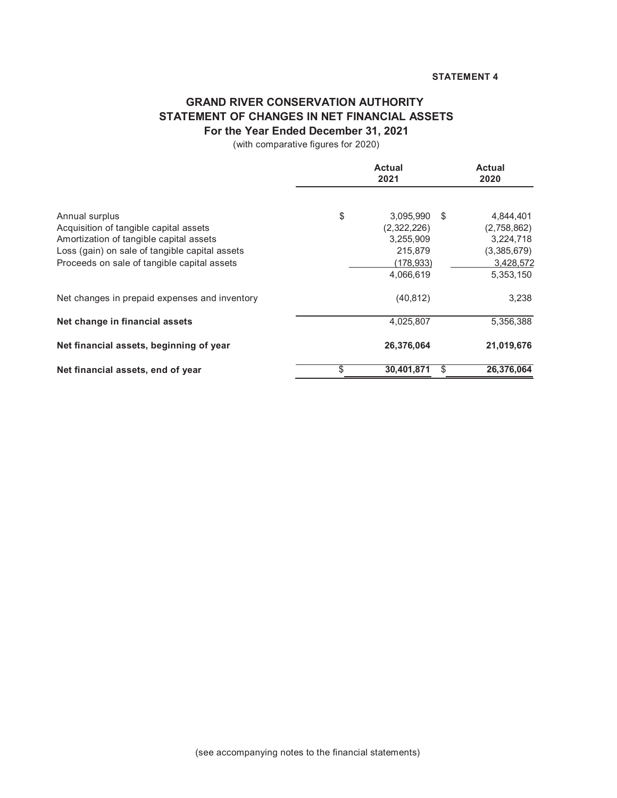## **GRAND RIVER CONSERVATION AUTHORITY STATEMENT OF CHANGES IN NET FINANCIAL ASSETS For the Year Ended December 31, 2021**

(with comparative figures for 2020)

|                                                          |    | <b>Actual</b><br>2020    |                                |
|----------------------------------------------------------|----|--------------------------|--------------------------------|
| Annual surplus<br>Acquisition of tangible capital assets | \$ | 3,095,990<br>(2,322,226) | \$<br>4,844,401<br>(2,758,862) |
| Amortization of tangible capital assets                  |    | 3,255,909                | 3,224,718                      |
| Loss (gain) on sale of tangible capital assets           |    | 215,879                  | (3,385,679)                    |
| Proceeds on sale of tangible capital assets              |    | (178, 933)               | 3,428,572                      |
|                                                          |    | 4,066,619                | 5,353,150                      |
| Net changes in prepaid expenses and inventory            |    | (40, 812)                | 3,238                          |
| Net change in financial assets                           |    | 4,025,807                | 5,356,388                      |
| Net financial assets, beginning of year                  |    | 26,376,064               | 21,019,676                     |
| Net financial assets, end of year                        | \$ | 30.401.871               | \$<br>26,376,064               |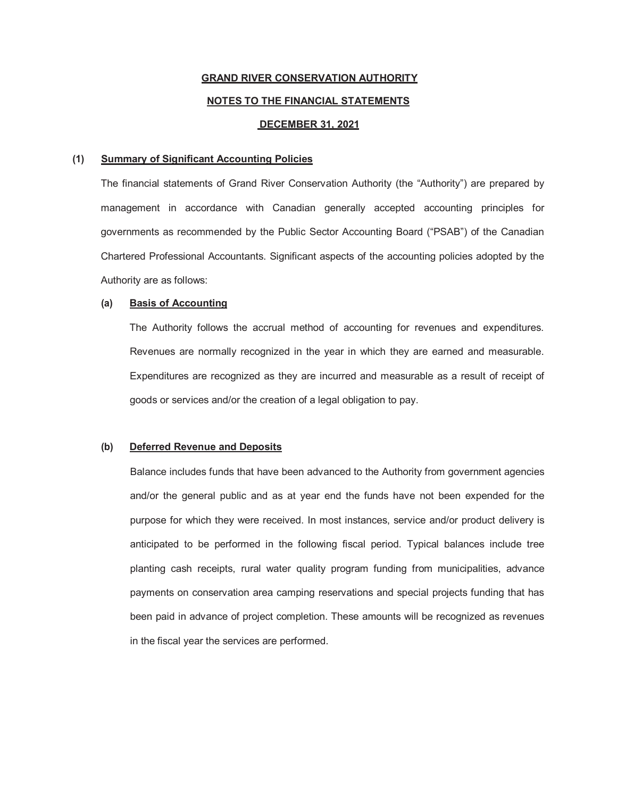## **GRAND RIVER CONSERVATION AUTHORITY NOTES TO THE FINANCIAL STATEMENTS DECEMBER 31, 2021**

#### **(1) Summary of Significant Accounting Policies**

The financial statements of Grand River Conservation Authority (the "Authority") are prepared by management in accordance with Canadian generally accepted accounting principles for governments as recommended by the Public Sector Accounting Board ("PSAB") of the Canadian Chartered Professional Accountants. Significant aspects of the accounting policies adopted by the Authority are as follows:

#### **(a) Basis of Accounting**

The Authority follows the accrual method of accounting for revenues and expenditures. Revenues are normally recognized in the year in which they are earned and measurable. Expenditures are recognized as they are incurred and measurable as a result of receipt of goods or services and/or the creation of a legal obligation to pay.

#### **(b) Deferred Revenue and Deposits**

Balance includes funds that have been advanced to the Authority from government agencies and/or the general public and as at year end the funds have not been expended for the purpose for which they were received. In most instances, service and/or product delivery is anticipated to be performed in the following fiscal period. Typical balances include tree planting cash receipts, rural water quality program funding from municipalities, advance payments on conservation area camping reservations and special projects funding that has been paid in advance of project completion. These amounts will be recognized as revenues in the fiscal year the services are performed.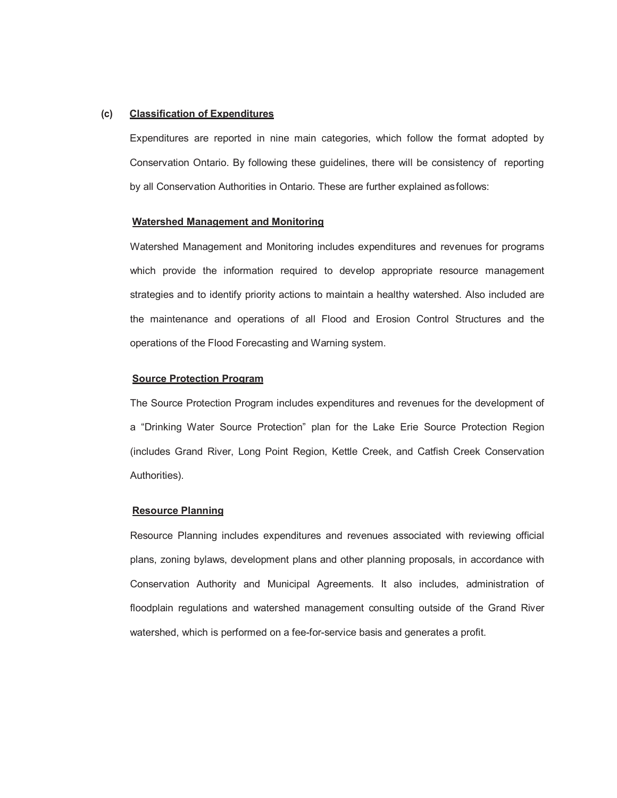#### **(c) Classification of Expenditures**

Expenditures are reported in nine main categories, which follow the format adopted by Conservation Ontario. By following these guidelines, there will be consistency of reporting by all Conservation Authorities in Ontario. These are further explained asfollows:

#### **Watershed Management and Monitoring**

Watershed Management and Monitoring includes expenditures and revenues for programs which provide the information required to develop appropriate resource management strategies and to identify priority actions to maintain a healthy watershed. Also included are the maintenance and operations of all Flood and Erosion Control Structures and the operations of the Flood Forecasting and Warning system.

#### **Source Protection Program**

The Source Protection Program includes expenditures and revenues for the development of a "Drinking Water Source Protection" plan for the Lake Erie Source Protection Region (includes Grand River, Long Point Region, Kettle Creek, and Catfish Creek Conservation Authorities).

#### **Resource Planning**

Resource Planning includes expenditures and revenues associated with reviewing official plans, zoning bylaws, development plans and other planning proposals, in accordance with Conservation Authority and Municipal Agreements. It also includes, administration of floodplain regulations and watershed management consulting outside of the Grand River watershed, which is performed on a fee-for-service basis and generates a profit.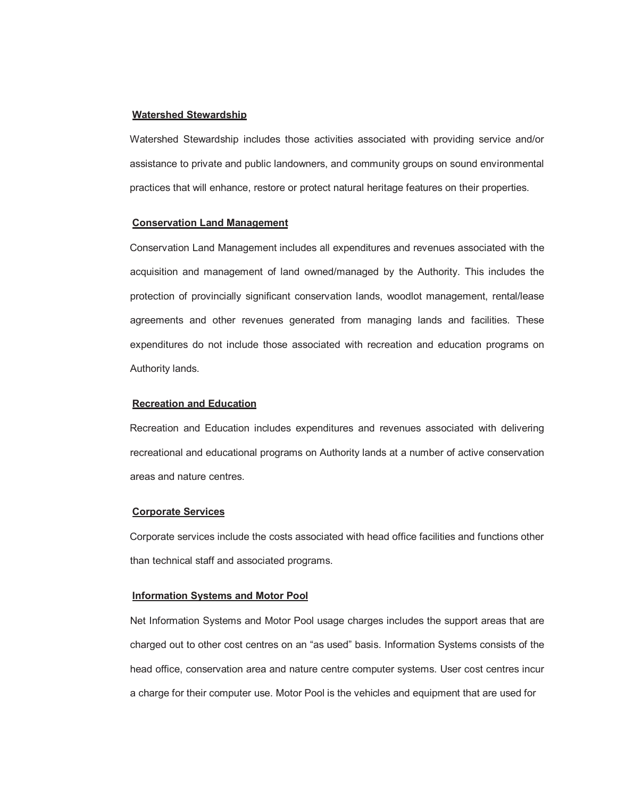#### **Watershed Stewardship**

Watershed Stewardship includes those activities associated with providing service and/or assistance to private and public landowners, and community groups on sound environmental practices that will enhance, restore or protect natural heritage features on their properties.

#### **Conservation Land Management**

Conservation Land Management includes all expenditures and revenues associated with the acquisition and management of land owned/managed by the Authority. This includes the protection of provincially significant conservation lands, woodlot management, rental/lease agreements and other revenues generated from managing lands and facilities. These expenditures do not include those associated with recreation and education programs on Authority lands.

#### **Recreation and Education**

Recreation and Education includes expenditures and revenues associated with delivering recreational and educational programs on Authority lands at a number of active conservation areas and nature centres.

#### **Corporate Services**

Corporate services include the costs associated with head office facilities and functions other than technical staff and associated programs.

#### **Information Systems and Motor Pool**

Net Information Systems and Motor Pool usage charges includes the support areas that are charged out to other cost centres on an "as used" basis. Information Systems consists of the head office, conservation area and nature centre computer systems. User cost centres incur a charge for their computer use. Motor Pool is the vehicles and equipment that are used for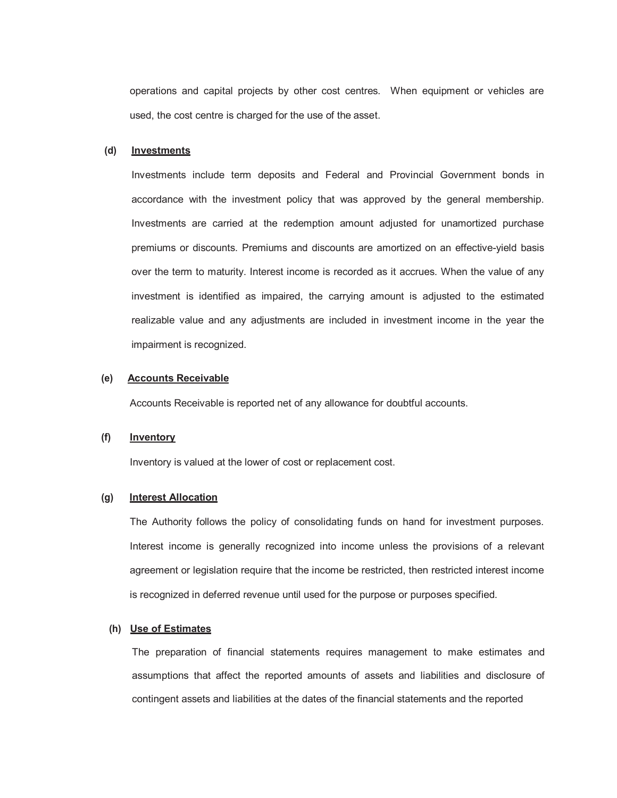operations and capital projects by other cost centres. When equipment or vehicles are used, the cost centre is charged for the use of the asset.

#### **(d) Investments**

Investments include term deposits and Federal and Provincial Government bonds in accordance with the investment policy that was approved by the general membership. Investments are carried at the redemption amount adjusted for unamortized purchase premiums or discounts. Premiums and discounts are amortized on an effective-yield basis over the term to maturity. Interest income is recorded as it accrues. When the value of any investment is identified as impaired, the carrying amount is adjusted to the estimated realizable value and any adjustments are included in investment income in the year the impairment is recognized.

#### **(e) Accounts Receivable**

Accounts Receivable is reported net of any allowance for doubtful accounts.

#### **(f) Inventory**

Inventory is valued at the lower of cost or replacement cost.

#### **(g) Interest Allocation**

The Authority follows the policy of consolidating funds on hand for investment purposes. Interest income is generally recognized into income unless the provisions of a relevant agreement or legislation require that the income be restricted, then restricted interest income is recognized in deferred revenue until used for the purpose or purposes specified.

#### **(h) Use of Estimates**

The preparation of financial statements requires management to make estimates and assumptions that affect the reported amounts of assets and liabilities and disclosure of contingent assets and liabilities at the dates of the financial statements and the reported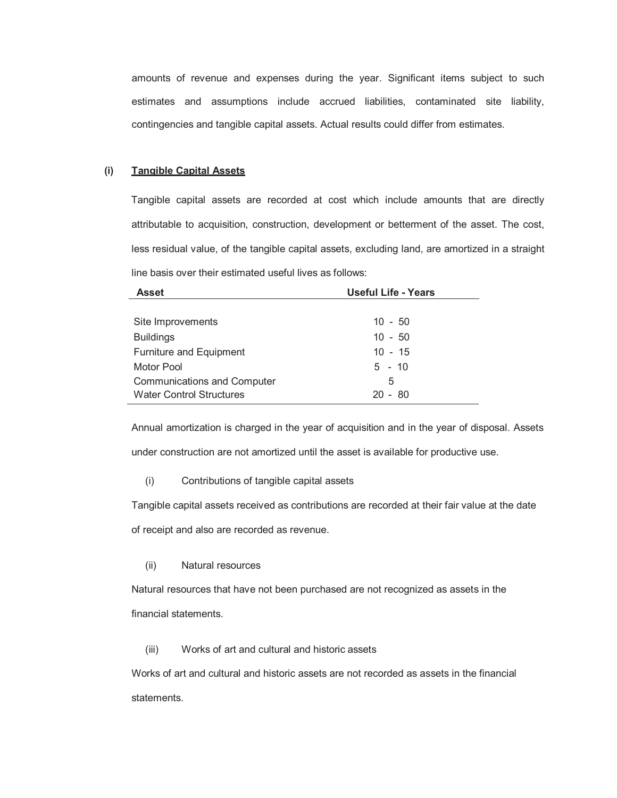amounts of revenue and expenses during the year. Significant items subject to such estimates and assumptions include accrued liabilities, contaminated site liability, contingencies and tangible capital assets. Actual results could differ from estimates.

#### **(i) Tangible Capital Assets**

Tangible capital assets are recorded at cost which include amounts that are directly attributable to acquisition, construction, development or betterment of the asset. The cost, less residual value, of the tangible capital assets, excluding land, are amortized in a straight line basis over their estimated useful lives as follows:

| <b>Asset</b>                       | <b>Useful Life - Years</b> |
|------------------------------------|----------------------------|
|                                    |                            |
| Site Improvements                  | $10 - 50$                  |
| <b>Buildings</b>                   | $10 - 50$                  |
| <b>Furniture and Equipment</b>     | $10 - 15$                  |
| Motor Pool                         | $5 - 10$                   |
| <b>Communications and Computer</b> | 5                          |
| <b>Water Control Structures</b>    | $20 - 80$                  |

Annual amortization is charged in the year of acquisition and in the year of disposal. Assets under construction are not amortized until the asset is available for productive use.

(i) Contributions of tangible capital assets

Tangible capital assets received as contributions are recorded at their fair value at the date

of receipt and also are recorded as revenue.

#### (ii) Natural resources

Natural resources that have not been purchased are not recognized as assets in the financial statements.

(iii) Works of art and cultural and historic assets

Works of art and cultural and historic assets are not recorded as assets in the financial statements.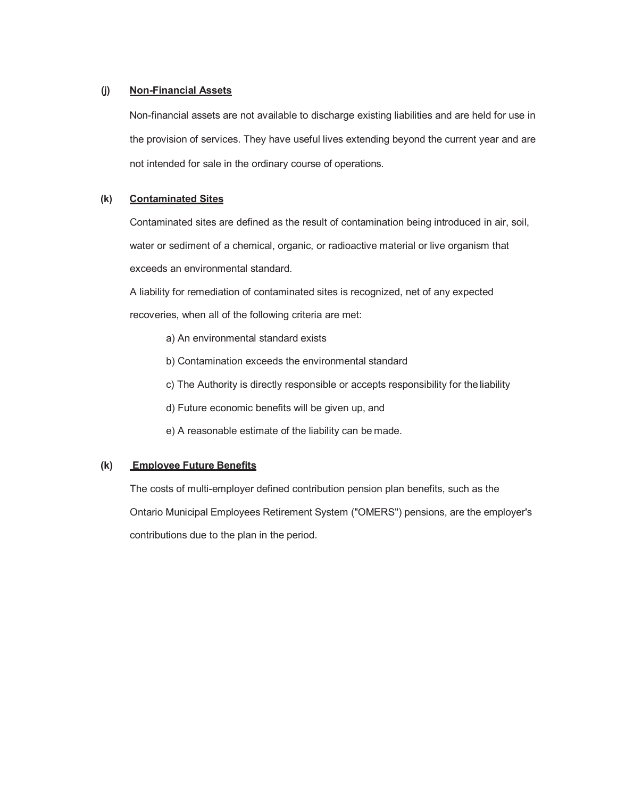#### **(j) Non-Financial Assets**

Non-financial assets are not available to discharge existing liabilities and are held for use in the provision of services. They have useful lives extending beyond the current year and are not intended for sale in the ordinary course of operations.

#### **(k) Contaminated Sites**

Contaminated sites are defined as the result of contamination being introduced in air, soil, water or sediment of a chemical, organic, or radioactive material or live organism that exceeds an environmental standard.

A liability for remediation of contaminated sites is recognized, net of any expected recoveries, when all of the following criteria are met:

- a) An environmental standard exists
- b) Contamination exceeds the environmental standard
- c) The Authority is directly responsible or accepts responsibility for the liability
- d) Future economic benefits will be given up, and
- e) A reasonable estimate of the liability can be made.

#### **(k) Employee Future Benefits**

The costs of multi-employer defined contribution pension plan benefits, such as the Ontario Municipal Employees Retirement System ("OMERS") pensions, are the employer's contributions due to the plan in the period.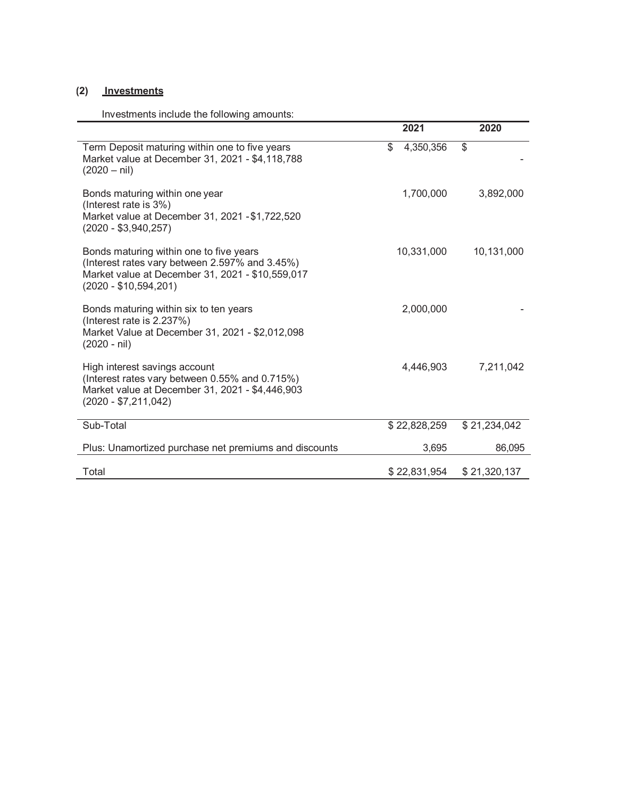## **(2) Investments**

Investments include the following amounts:

|                                                                                                                                                                         | 2021            | 2020         |
|-------------------------------------------------------------------------------------------------------------------------------------------------------------------------|-----------------|--------------|
| Term Deposit maturing within one to five years<br>Market value at December 31, 2021 - \$4,118,788<br>$(2020 - nil)$                                                     | \$<br>4,350,356 | $\mathbb{S}$ |
| Bonds maturing within one year<br>(Interest rate is 3%)<br>Market value at December 31, 2021 - \$1,722,520<br>$(2020 - $3,940,257)$                                     | 1,700,000       | 3,892,000    |
| Bonds maturing within one to five years<br>(Interest rates vary between 2.597% and 3.45%)<br>Market value at December 31, 2021 - \$10,559,017<br>$(2020 - $10,594,201)$ | 10,331,000      | 10,131,000   |
| Bonds maturing within six to ten years<br>(Interest rate is 2.237%)<br>Market Value at December 31, 2021 - \$2,012,098<br>$(2020 - nil)$                                | 2,000,000       |              |
| High interest savings account<br>(Interest rates vary between 0.55% and 0.715%)<br>Market value at December 31, 2021 - \$4,446,903<br>$(2020 - $7,211,042)$             | 4,446,903       | 7,211,042    |
| Sub-Total                                                                                                                                                               | \$22,828,259    | \$21,234,042 |
| Plus: Unamortized purchase net premiums and discounts                                                                                                                   | 3,695           | 86,095       |
| Total                                                                                                                                                                   | \$22,831,954    | \$21,320,137 |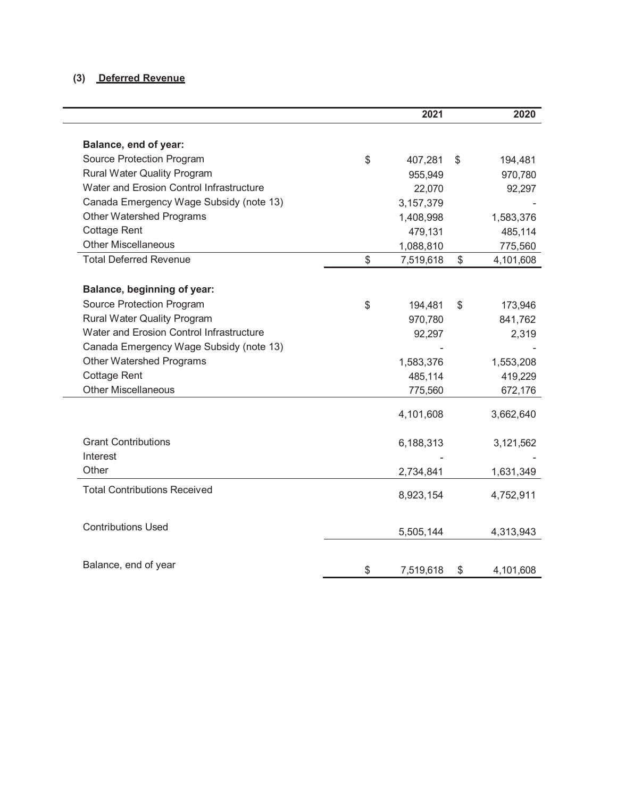## **(3) Deferred Revenue**

|                                          | 2021            | 2020            |
|------------------------------------------|-----------------|-----------------|
| Balance, end of year:                    |                 |                 |
| Source Protection Program                | \$<br>407,281   | \$<br>194,481   |
| <b>Rural Water Quality Program</b>       | 955,949         | 970,780         |
| Water and Erosion Control Infrastructure | 22,070          | 92,297          |
| Canada Emergency Wage Subsidy (note 13)  | 3,157,379       |                 |
| <b>Other Watershed Programs</b>          | 1,408,998       | 1,583,376       |
| <b>Cottage Rent</b>                      | 479,131         | 485,114         |
| <b>Other Miscellaneous</b>               | 1,088,810       | 775,560         |
| <b>Total Deferred Revenue</b>            | \$<br>7,519,618 | \$<br>4,101,608 |
| Balance, beginning of year:              |                 |                 |
| Source Protection Program                | \$<br>194,481   | \$<br>173,946   |
| <b>Rural Water Quality Program</b>       | 970,780         | 841,762         |
| Water and Erosion Control Infrastructure | 92,297          | 2,319           |
| Canada Emergency Wage Subsidy (note 13)  |                 |                 |
| <b>Other Watershed Programs</b>          | 1,583,376       | 1,553,208       |
| <b>Cottage Rent</b>                      | 485,114         | 419,229         |
| <b>Other Miscellaneous</b>               | 775,560         | 672,176         |
|                                          | 4,101,608       | 3,662,640       |
| <b>Grant Contributions</b>               | 6,188,313       | 3,121,562       |
| Interest                                 |                 |                 |
| Other                                    | 2,734,841       | 1,631,349       |
| <b>Total Contributions Received</b>      | 8,923,154       | 4,752,911       |
| <b>Contributions Used</b>                | 5,505,144       | 4,313,943       |
|                                          |                 |                 |
| Balance, end of year                     | \$<br>7,519,618 | \$<br>4,101,608 |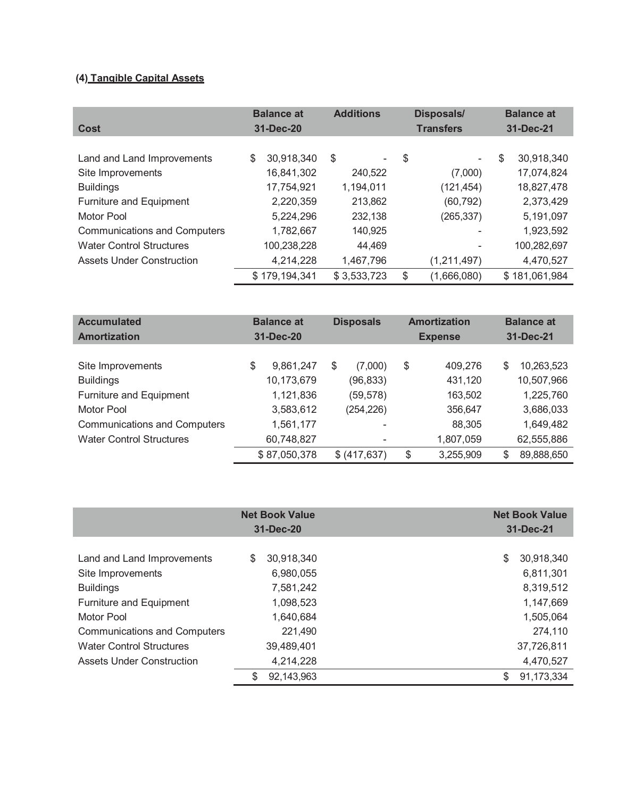## **(4) Tangible Capital Assets**

| Cost                                | <b>Balance at</b><br>31-Dec-20 |               | <b>Additions</b>                   | <b>Disposals/</b><br><b>Transfers</b> | <b>Balance at</b><br>31-Dec-21 |               |
|-------------------------------------|--------------------------------|---------------|------------------------------------|---------------------------------------|--------------------------------|---------------|
|                                     |                                |               |                                    |                                       |                                |               |
| Land and Land Improvements          | \$                             | 30,918,340    | \$<br>$\qquad \qquad \blacksquare$ | \$<br>Ξ.                              | \$                             | 30,918,340    |
| Site Improvements                   |                                | 16,841,302    | 240,522                            | (7,000)                               |                                | 17,074,824    |
| <b>Buildings</b>                    |                                | 17,754,921    | 1,194,011                          | (121, 454)                            |                                | 18,827,478    |
| <b>Furniture and Equipment</b>      |                                | 2,220,359     | 213,862                            | (60, 792)                             |                                | 2,373,429     |
| Motor Pool                          |                                | 5,224,296     | 232,138                            | (265, 337)                            |                                | 5,191,097     |
| <b>Communications and Computers</b> |                                | 1,782,667     | 140,925                            |                                       |                                | 1,923,592     |
| <b>Water Control Structures</b>     |                                | 100,238,228   | 44,469                             |                                       |                                | 100,282,697   |
| <b>Assets Under Construction</b>    |                                | 4,214,228     | 1,467,796                          | (1, 211, 497)                         |                                | 4,470,527     |
|                                     |                                | \$179,194,341 | \$3,533,723                        | \$<br>(1,666,080)                     |                                | \$181,061,984 |

| <b>Accumulated</b><br><b>Amortization</b> | <b>Balance at</b><br>31-Dec-20 |    | <b>Disposals</b>         |    | <b>Amortization</b><br><b>Expense</b> | <b>Balance at</b><br>31-Dec-21 |  |
|-------------------------------------------|--------------------------------|----|--------------------------|----|---------------------------------------|--------------------------------|--|
|                                           |                                |    |                          |    |                                       |                                |  |
| Site Improvements                         | \$<br>9,861,247                | \$ | (7,000)                  | \$ | 409,276                               | \$<br>10,263,523               |  |
| <b>Buildings</b>                          | 10,173,679                     |    | (96, 833)                |    | 431,120                               | 10,507,966                     |  |
| Furniture and Equipment                   | 1,121,836                      |    | (59, 578)                |    | 163,502                               | 1,225,760                      |  |
| Motor Pool                                | 3,583,612                      |    | (254, 226)               |    | 356,647                               | 3,686,033                      |  |
| <b>Communications and Computers</b>       | 1,561,177                      |    | ۰                        |    | 88,305                                | 1,649,482                      |  |
| <b>Water Control Structures</b>           | 60,748,827                     |    | $\overline{\phantom{a}}$ |    | 1,807,059                             | 62,555,886                     |  |
|                                           | \$87,050,378                   |    | \$ (417, 637)            | \$ | 3,255,909                             | \$<br>89,888,650               |  |

|                                     | <b>Net Book Value</b><br>31-Dec-20 | <b>Net Book Value</b><br>31-Dec-21 |
|-------------------------------------|------------------------------------|------------------------------------|
|                                     |                                    |                                    |
| Land and Land Improvements          | 30,918,340<br>S                    | 30,918,340<br>\$                   |
| Site Improvements                   | 6,980,055                          | 6,811,301                          |
| <b>Buildings</b>                    | 7,581,242                          | 8,319,512                          |
| Furniture and Equipment             | 1,098,523                          | 1,147,669                          |
| Motor Pool                          | 1,640,684                          | 1,505,064                          |
| <b>Communications and Computers</b> | 221,490                            | 274,110                            |
| <b>Water Control Structures</b>     | 39,489,401                         | 37,726,811                         |
| Assets Under Construction           | 4,214,228                          | 4,470,527                          |
|                                     | \$<br>92,143,963                   | \$<br>91,173,334                   |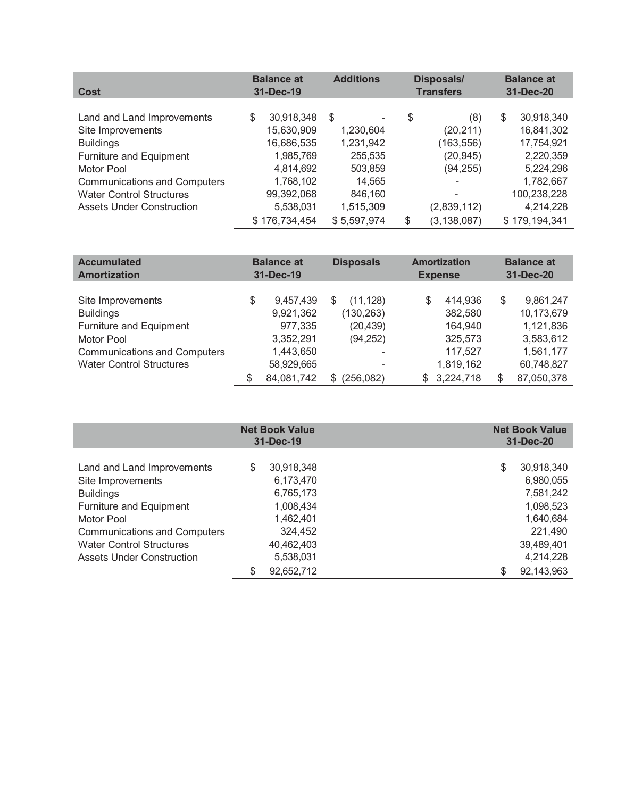| Cost                                | <b>Balance at</b><br>31-Dec-19 | <b>Additions</b> |         | <b>Disposals/</b><br><b>Transfers</b> | <b>Balance at</b><br>31-Dec-20 |  |
|-------------------------------------|--------------------------------|------------------|---------|---------------------------------------|--------------------------------|--|
| Land and Land Improvements          | \$<br>30,918,348               | \$               | \$<br>۰ | (8)                                   | \$<br>30,918,340               |  |
| Site Improvements                   | 15,630,909                     | 1,230,604        |         | (20, 211)                             | 16,841,302                     |  |
| <b>Buildings</b>                    | 16,686,535                     | 1,231,942        |         | (163, 556)                            | 17,754,921                     |  |
| <b>Furniture and Equipment</b>      | 1,985,769                      | 255,535          |         | (20, 945)                             | 2,220,359                      |  |
| Motor Pool                          | 4,814,692                      | 503,859          |         | (94, 255)                             | 5,224,296                      |  |
| <b>Communications and Computers</b> | 1,768,102                      | 14,565           |         |                                       | 1,782,667                      |  |
| <b>Water Control Structures</b>     | 99,392,068                     | 846,160          |         |                                       | 100,238,228                    |  |
| <b>Assets Under Construction</b>    | 5,538,031                      | 1,515,309        |         | (2,839,112)                           | 4,214,228                      |  |
|                                     | \$176,734,454                  | \$5,597,974      | \$      | (3, 138, 087)                         | \$179,194,341                  |  |

| <b>Accumulated</b><br><b>Amortization</b> | <b>Balance at</b><br>31-Dec-19 | <b>Disposals</b>         | <b>Amortization</b><br><b>Expense</b> |           | <b>Balance at</b><br>31-Dec-20 |            |
|-------------------------------------------|--------------------------------|--------------------------|---------------------------------------|-----------|--------------------------------|------------|
|                                           |                                |                          |                                       |           |                                |            |
| Site Improvements                         | \$<br>9.457.439                | (11, 128)                | \$                                    | 414,936   | \$                             | 9,861,247  |
| <b>Buildings</b>                          | 9,921,362                      | (130, 263)               |                                       | 382,580   |                                | 10,173,679 |
| Furniture and Equipment                   | 977,335                        | (20, 439)                |                                       | 164,940   |                                | 1,121,836  |
| Motor Pool                                | 3,352,291                      | (94, 252)                |                                       | 325,573   |                                | 3,583,612  |
| <b>Communications and Computers</b>       | 1,443,650                      | $\overline{\phantom{0}}$ |                                       | 117,527   |                                | 1,561,177  |
| <b>Water Control Structures</b>           | 58,929,665                     | ٠                        |                                       | 1,819,162 |                                | 60,748,827 |
|                                           | \$<br>84,081,742               | \$ (256,082)             | \$                                    | 3,224,718 | \$                             | 87,050,378 |

|                                     |    | <b>Net Book Value</b><br>31-Dec-19 | <b>Net Book Value</b><br>31-Dec-20 |            |
|-------------------------------------|----|------------------------------------|------------------------------------|------------|
|                                     |    |                                    |                                    |            |
| Land and Land Improvements          | S  | 30,918,348                         | \$                                 | 30,918,340 |
| Site Improvements                   |    | 6,173,470                          |                                    | 6,980,055  |
| <b>Buildings</b>                    |    | 6,765,173                          |                                    | 7,581,242  |
| Furniture and Equipment             |    | 1,008,434                          |                                    | 1,098,523  |
| Motor Pool                          |    | 1,462,401                          |                                    | 1,640,684  |
| <b>Communications and Computers</b> |    | 324,452                            |                                    | 221,490    |
| <b>Water Control Structures</b>     |    | 40,462,403                         |                                    | 39,489,401 |
| <b>Assets Under Construction</b>    |    | 5,538,031                          |                                    | 4,214,228  |
|                                     | \$ | 92,652,712                         | \$                                 | 92,143,963 |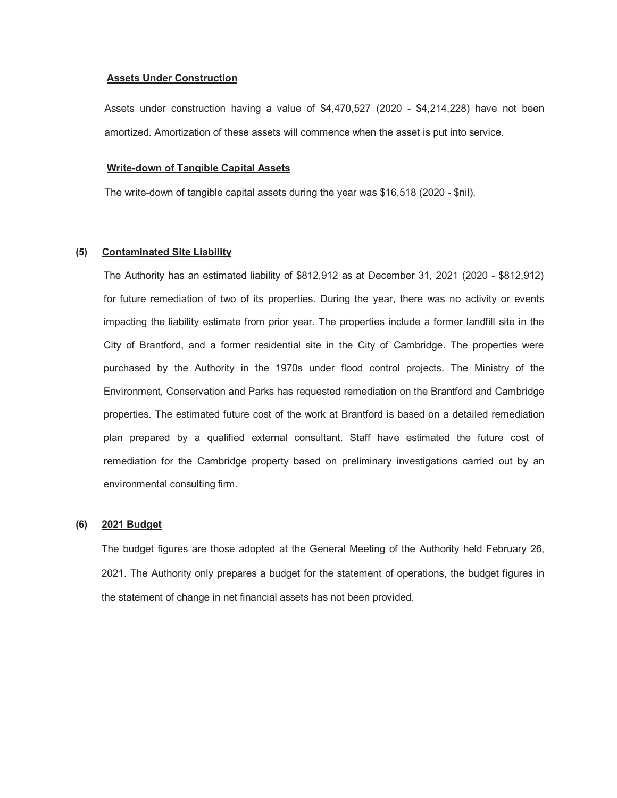#### **Assets Under Construction**

Assets under construction having a value of \$4,470,527 (2020 - \$4,214,228) have not been amortized. Amortization of these assets will commence when the asset is put into service.

#### **Write-down of Tangible Capital Assets**

The write-down of tangible capital assets during the year was \$16,518 (2020 - \$nil).

#### **(5) Contaminated Site Liability**

The Authority has an estimated liability of \$812,912 as at December 31, 2021 (2020 - \$812,912) for future remediation of two of its properties. During the year, there was no activity or events impacting the liability estimate from prior year. The properties include a former landfill site in the City of Brantford, and a former residential site in the City of Cambridge. The properties were purchased by the Authority in the 1970s under flood control projects. The Ministry of the Environment, Conservation and Parks has requested remediation on the Brantford and Cambridge properties. The estimated future cost of the work at Brantford is based on a detailed remediation plan prepared by a qualified external consultant. Staff have estimated the future cost of remediation for the Cambridge property based on preliminary investigations carried out by an environmental consulting firm.

#### **(6) 2021 Budget**

The budget figures are those adopted at the General Meeting of the Authority held February 26, 2021. The Authority only prepares a budget for the statement of operations, the budget figures in the statement of change in net financial assets has not been provided.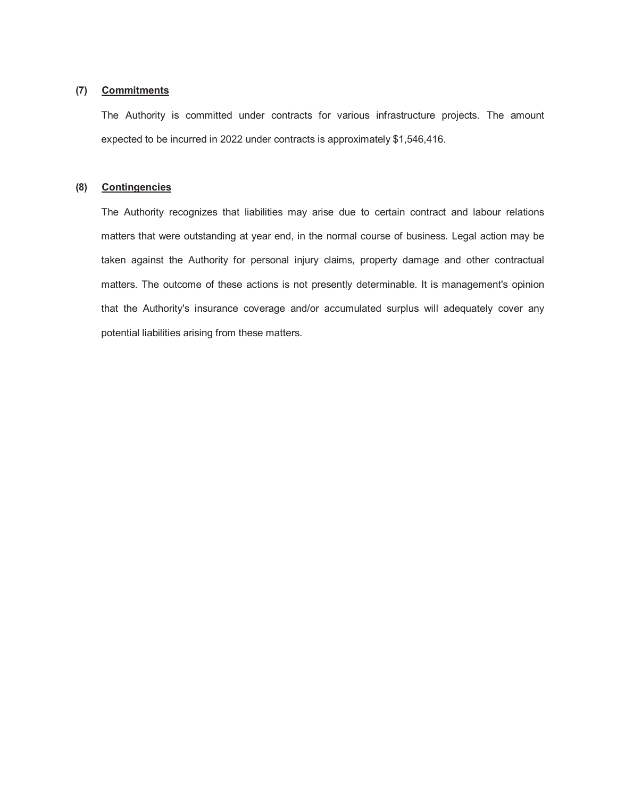#### **(7) Commitments**

The Authority is committed under contracts for various infrastructure projects. The amount expected to be incurred in 2022 under contracts is approximately \$1,546,416.

#### **(8) Contingencies**

The Authority recognizes that liabilities may arise due to certain contract and labour relations matters that were outstanding at year end, in the normal course of business. Legal action may be taken against the Authority for personal injury claims, property damage and other contractual matters. The outcome of these actions is not presently determinable. It is management's opinion that the Authority's insurance coverage and/or accumulated surplus will adequately cover any potential liabilities arising from these matters.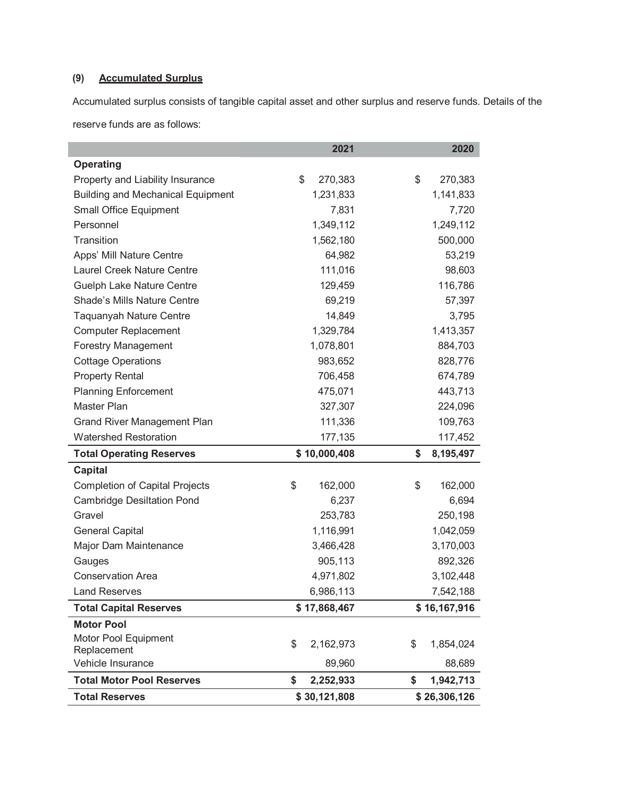## **(9) Accumulated Surplus**

Accumulated surplus consists of tangible capital asset and other surplus and reserve funds. Details of the

reserve funds are as follows:

|                                                           | 2021                            | 2020                            |
|-----------------------------------------------------------|---------------------------------|---------------------------------|
| <b>Operating</b>                                          |                                 |                                 |
| Property and Liability Insurance                          | \$<br>270,383                   | \$<br>270,383                   |
| <b>Building and Mechanical Equipment</b>                  | 1,231,833                       | 1,141,833                       |
| <b>Small Office Equipment</b>                             | 7,831                           | 7,720                           |
| Personnel                                                 | 1,349,112                       | 1,249,112                       |
| Transition                                                | 1,562,180                       | 500,000                         |
| Apps' Mill Nature Centre                                  | 64,982                          | 53,219                          |
| Laurel Creek Nature Centre                                | 111,016                         | 98,603                          |
| <b>Guelph Lake Nature Centre</b>                          | 129,459                         | 116,786                         |
| Shade's Mills Nature Centre                               | 69,219                          | 57,397                          |
| <b>Taquanyah Nature Centre</b>                            | 14,849                          | 3,795                           |
| <b>Computer Replacement</b>                               | 1,329,784                       | 1,413,357                       |
| <b>Forestry Management</b>                                | 1,078,801                       | 884,703                         |
| <b>Cottage Operations</b>                                 | 983,652                         | 828,776                         |
| <b>Property Rental</b>                                    | 706,458                         | 674,789                         |
| <b>Planning Enforcement</b>                               | 475,071                         | 443,713                         |
| Master Plan                                               | 327,307                         | 224,096                         |
| <b>Grand River Management Plan</b>                        | 111,336                         | 109,763                         |
|                                                           |                                 |                                 |
| <b>Watershed Restoration</b>                              | 177,135                         | 117,452                         |
| <b>Total Operating Reserves</b>                           | \$10,000,408                    | \$<br>8,195,497                 |
| <b>Capital</b>                                            |                                 |                                 |
| <b>Completion of Capital Projects</b>                     | \$<br>162,000                   | \$<br>162,000                   |
| <b>Cambridge Desiltation Pond</b>                         | 6,237                           | 6,694                           |
| Gravel                                                    | 253,783                         | 250,198                         |
| <b>General Capital</b>                                    | 1,116,991                       | 1,042,059                       |
| Major Dam Maintenance                                     | 3,466,428                       | 3,170,003                       |
| Gauges                                                    | 905,113                         | 892,326                         |
| <b>Conservation Area</b>                                  | 4,971,802                       | 3,102,448                       |
| <b>Land Reserves</b>                                      | 6,986,113                       | 7,542,188                       |
| <b>Total Capital Reserves</b>                             | \$17,868,467                    | \$16,167,916                    |
| <b>Motor Pool</b>                                         |                                 |                                 |
| Motor Pool Equipment                                      |                                 |                                 |
| Replacement                                               | \$<br>2,162,973                 | \$<br>1,854,024                 |
| Vehicle Insurance                                         | 89,960                          | 88,689                          |
| <b>Total Motor Pool Reserves</b><br><b>Total Reserves</b> | \$<br>2,252,933<br>\$30,121,808 | \$<br>1,942,713<br>\$26,306,126 |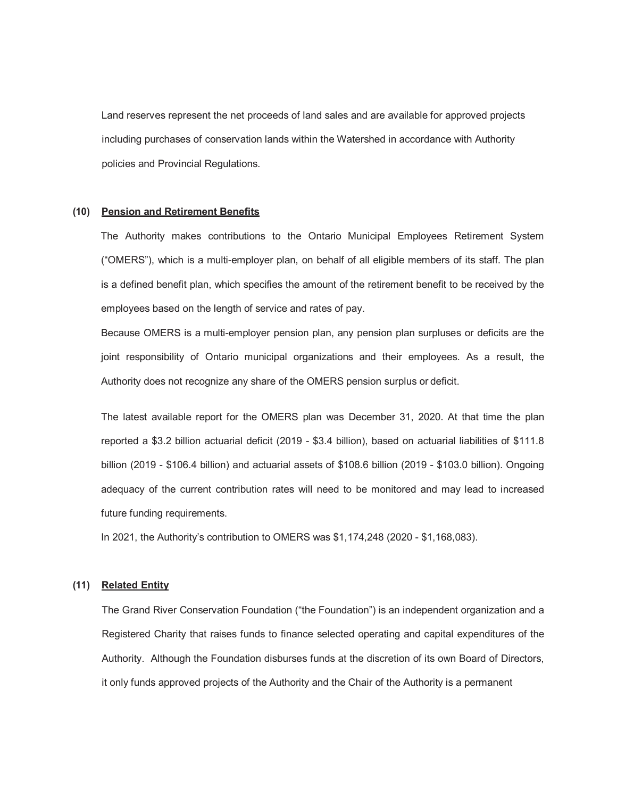Land reserves represent the net proceeds of land sales and are available for approved projects including purchases of conservation lands within the Watershed in accordance with Authority policies and Provincial Regulations.

#### **(10) Pension and Retirement Benefits**

The Authority makes contributions to the Ontario Municipal Employees Retirement System ("OMERS"), which is a multi-employer plan, on behalf of all eligible members of its staff. The plan is a defined benefit plan, which specifies the amount of the retirement benefit to be received by the employees based on the length of service and rates of pay.

Because OMERS is a multi-employer pension plan, any pension plan surpluses or deficits are the joint responsibility of Ontario municipal organizations and their employees. As a result, the Authority does not recognize any share of the OMERS pension surplus or deficit.

The latest available report for the OMERS plan was December 31, 2020. At that time the plan reported a \$3.2 billion actuarial deficit (2019 - \$3.4 billion), based on actuarial liabilities of \$111.8 billion (2019 - \$106.4 billion) and actuarial assets of \$108.6 billion (2019 - \$103.0 billion). Ongoing adequacy of the current contribution rates will need to be monitored and may lead to increased future funding requirements.

In 2021, the Authority's contribution to OMERS was \$1,174,248 (2020 - \$1,168,083).

#### **(11) Related Entity**

The Grand River Conservation Foundation ("the Foundation") is an independent organization and a Registered Charity that raises funds to finance selected operating and capital expenditures of the Authority. Although the Foundation disburses funds at the discretion of its own Board of Directors, it only funds approved projects of the Authority and the Chair of the Authority is a permanent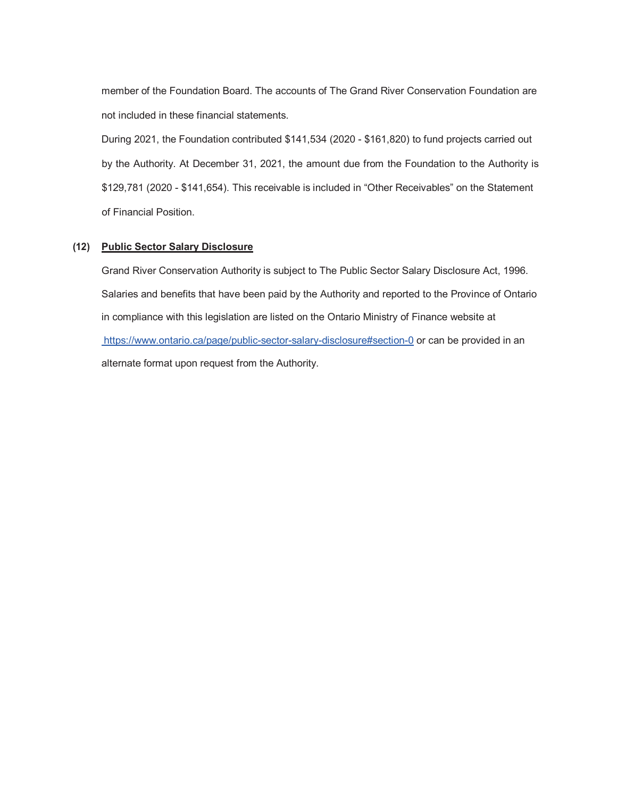member of the Foundation Board. The accounts of The Grand River Conservation Foundation are not included in these financial statements.

During 2021, the Foundation contributed \$141,534 (2020 - \$161,820) to fund projects carried out by the Authority. At December 31, 2021, the amount due from the Foundation to the Authority is \$129,781 (2020 - \$141,654). This receivable is included in "Other Receivables" on the Statement of Financial Position.

#### **(12) Public Sector Salary Disclosure**

Grand River Conservation Authority is subject to The Public Sector Salary Disclosure Act, 1996. Salaries and benefits that have been paid by the Authority and reported to the Province of Ontario in compliance with this legislation are listed on the Ontario Ministry of Finance website at [https://www.ontario.ca/page/public-sector-salary-disclosure#section-0 o](https://www.ontario.ca/page/public-sector-salary-disclosure#section-0)r can be provided in an alternate format upon request from the Authority.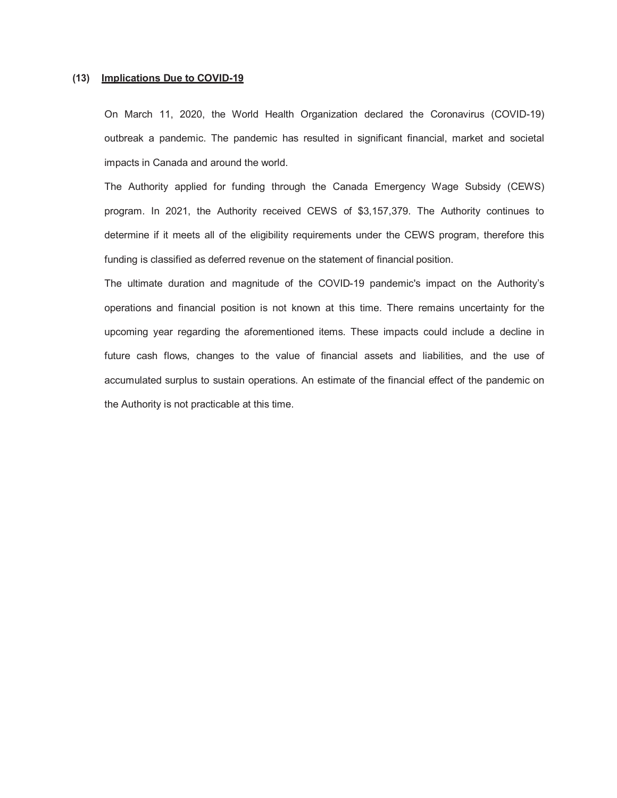#### **(13) Implications Due to COVID-19**

On March 11, 2020, the World Health Organization declared the Coronavirus (COVID-19) outbreak a pandemic. The pandemic has resulted in significant financial, market and societal impacts in Canada and around the world.

The Authority applied for funding through the Canada Emergency Wage Subsidy (CEWS) program. In 2021, the Authority received CEWS of \$3,157,379. The Authority continues to determine if it meets all of the eligibility requirements under the CEWS program, therefore this funding is classified as deferred revenue on the statement of financial position.

The ultimate duration and magnitude of the COVID-19 pandemic's impact on the Authority's operations and financial position is not known at this time. There remains uncertainty for the upcoming year regarding the aforementioned items. These impacts could include a decline in future cash flows, changes to the value of financial assets and liabilities, and the use of accumulated surplus to sustain operations. An estimate of the financial effect of the pandemic on the Authority is not practicable at this time.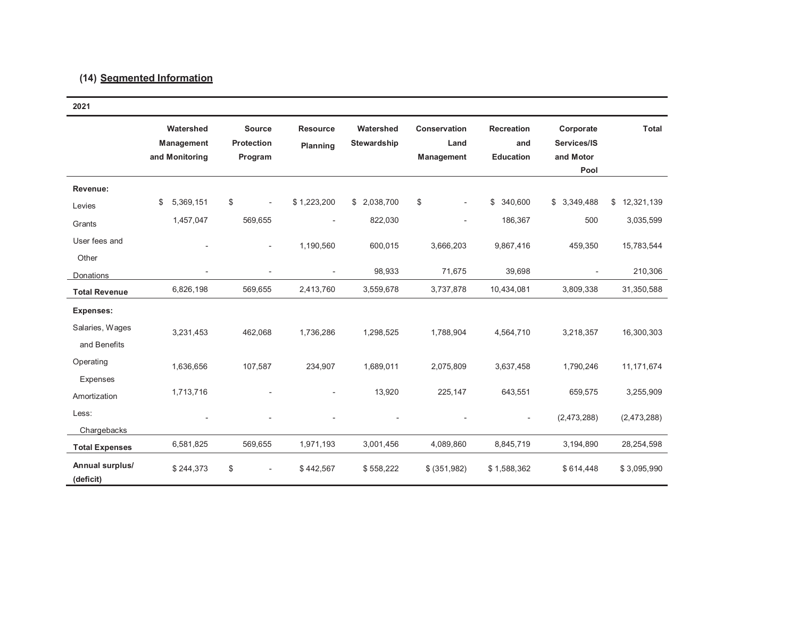## **(14) Segmented Information**

| 2021                            |                                                  |                                               |                             |                                 |                                    |                                              |                                               |                  |
|---------------------------------|--------------------------------------------------|-----------------------------------------------|-----------------------------|---------------------------------|------------------------------------|----------------------------------------------|-----------------------------------------------|------------------|
|                                 | Watershed<br><b>Management</b><br>and Monitoring | <b>Source</b><br><b>Protection</b><br>Program | <b>Resource</b><br>Planning | Watershed<br><b>Stewardship</b> | Conservation<br>Land<br>Management | <b>Recreation</b><br>and<br><b>Education</b> | Corporate<br>Services/IS<br>and Motor<br>Pool | <b>Total</b>     |
| Revenue:                        |                                                  |                                               |                             |                                 |                                    |                                              |                                               |                  |
| Levies                          | 5,369,151<br>\$                                  | \$<br>÷,                                      | \$1,223,200                 | \$2,038,700                     | \$<br>$\overline{a}$               | \$<br>340,600                                | \$3,349,488                                   | 12,321,139<br>\$ |
| Grants                          | 1,457,047                                        | 569,655                                       |                             | 822,030                         |                                    | 186,367                                      | 500                                           | 3,035,599        |
| User fees and<br>Other          | $\overline{a}$                                   | $\overline{\phantom{a}}$                      | 1,190,560                   | 600,015                         | 3,666,203                          | 9,867,416                                    | 459,350                                       | 15,783,544       |
| Donations                       | ÷                                                |                                               | ٠                           | 98,933                          | 71,675                             | 39,698                                       | $\overline{\phantom{a}}$                      | 210,306          |
| <b>Total Revenue</b>            | 6,826,198                                        | 569,655                                       | 2,413,760                   | 3,559,678                       | 3,737,878                          | 10,434,081                                   | 3,809,338                                     | 31,350,588       |
| <b>Expenses:</b>                |                                                  |                                               |                             |                                 |                                    |                                              |                                               |                  |
| Salaries, Wages<br>and Benefits | 3,231,453                                        | 462,068                                       | 1,736,286                   | 1,298,525                       | 1,788,904                          | 4,564,710                                    | 3,218,357                                     | 16,300,303       |
| Operating<br>Expenses           | 1,636,656                                        | 107,587                                       | 234,907                     | 1,689,011                       | 2,075,809                          | 3,637,458                                    | 1,790,246                                     | 11, 171, 674     |
| Amortization                    | 1,713,716                                        |                                               |                             | 13,920                          | 225,147                            | 643,551                                      | 659,575                                       | 3,255,909        |
| Less:<br>Chargebacks            |                                                  |                                               |                             |                                 |                                    |                                              | (2,473,288)                                   | (2,473,288)      |
| <b>Total Expenses</b>           | 6,581,825                                        | 569,655                                       | 1,971,193                   | 3,001,456                       | 4,089,860                          | 8,845,719                                    | 3,194,890                                     | 28,254,598       |
| Annual surplus/<br>(deficit)    | \$244,373                                        | \$<br>$\overline{\phantom{a}}$                | \$442,567                   | \$558,222                       | \$ (351,982)                       | \$1,588,362                                  | \$614,448                                     | \$3,095,990      |